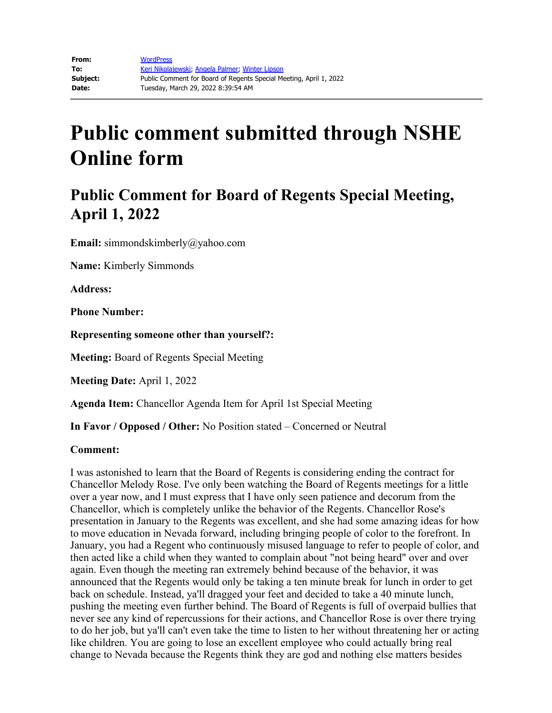# **Public comment submitted through NSHE Online form**

# **Public Comment for Board of Regents Special Meeting, April 1, 2022**

**Email:** simmondskimberly@yahoo.com

**Name:** Kimberly Simmonds

**Address:**

**Phone Number:**

**Representing someone other than yourself?:**

**Meeting:** Board of Regents Special Meeting

**Meeting Date:** April 1, 2022

**Agenda Item:** Chancellor Agenda Item for April 1st Special Meeting

**In Favor / Opposed / Other:** No Position stated – Concerned or Neutral

### **Comment:**

I was astonished to learn that the Board of Regents is considering ending the contract for Chancellor Melody Rose. I've only been watching the Board of Regents meetings for a little over a year now, and I must express that I have only seen patience and decorum from the Chancellor, which is completely unlike the behavior of the Regents. Chancellor Rose's presentation in January to the Regents was excellent, and she had some amazing ideas for how to move education in Nevada forward, including bringing people of color to the forefront. In January, you had a Regent who continuously misused language to refer to people of color, and then acted like a child when they wanted to complain about "not being heard" over and over again. Even though the meeting ran extremely behind because of the behavior, it was announced that the Regents would only be taking a ten minute break for lunch in order to get back on schedule. Instead, ya'll dragged your feet and decided to take a 40 minute lunch, pushing the meeting even further behind. The Board of Regents is full of overpaid bullies that never see any kind of repercussions for their actions, and Chancellor Rose is over there trying to do her job, but ya'll can't even take the time to listen to her without threatening her or acting like children. You are going to lose an excellent employee who could actually bring real change to Nevada because the Regents think they are god and nothing else matters besides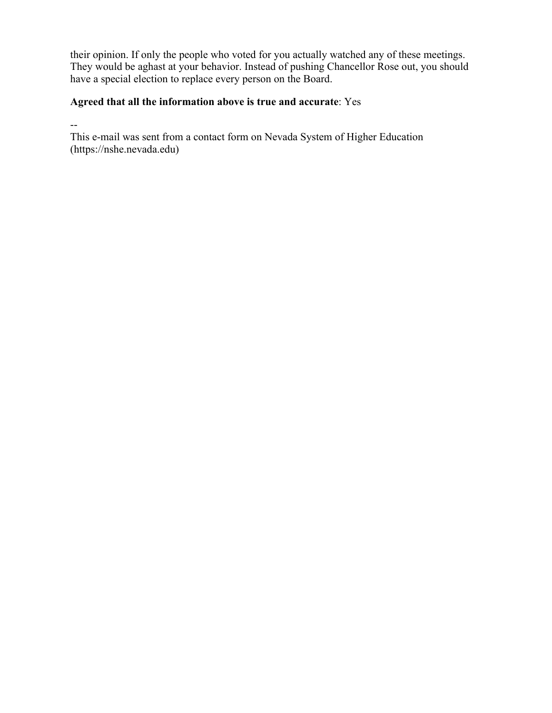their opinion. If only the people who voted for you actually watched any of these meetings. They would be aghast at your behavior. Instead of pushing Chancellor Rose out, you should have a special election to replace every person on the Board.

## **Agreed that all the information above is true and accurate**: Yes

--

This e-mail was sent from a contact form on Nevada System of Higher Education (https://nshe.nevada.edu)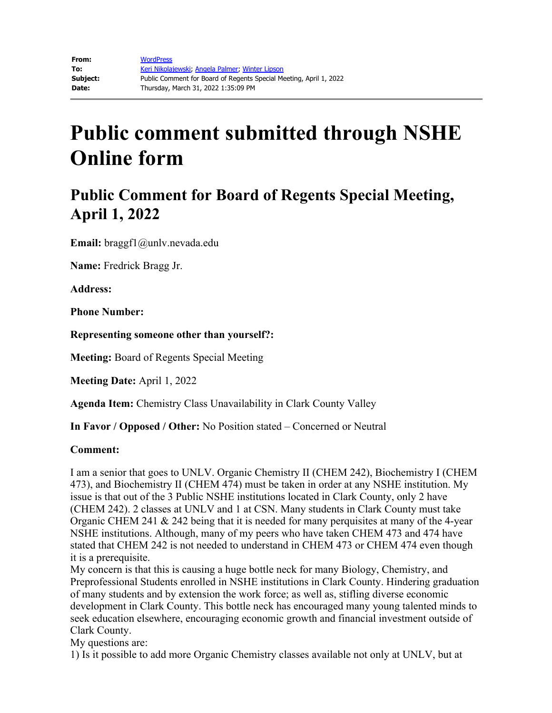# **Public comment submitted through NSHE Online form**

# **Public Comment for Board of Regents Special Meeting, April 1, 2022**

**Email:** braggf1@unlv.nevada.edu

**Name:** Fredrick Bragg Jr.

**Address:** 

**Phone Number:** 

**Representing someone other than yourself?:**

**Meeting:** Board of Regents Special Meeting

**Meeting Date:** April 1, 2022

**Agenda Item:** Chemistry Class Unavailability in Clark County Valley

**In Favor / Opposed / Other:** No Position stated – Concerned or Neutral

#### **Comment:**

I am a senior that goes to UNLV. Organic Chemistry II (CHEM 242), Biochemistry I (CHEM 473), and Biochemistry II (CHEM 474) must be taken in order at any NSHE institution. My issue is that out of the 3 Public NSHE institutions located in Clark County, only 2 have (CHEM 242). 2 classes at UNLV and 1 at CSN. Many students in Clark County must take Organic CHEM 241 & 242 being that it is needed for many perquisites at many of the 4-year NSHE institutions. Although, many of my peers who have taken CHEM 473 and 474 have stated that CHEM 242 is not needed to understand in CHEM 473 or CHEM 474 even though it is a prerequisite.

My concern is that this is causing a huge bottle neck for many Biology, Chemistry, and Preprofessional Students enrolled in NSHE institutions in Clark County. Hindering graduation of many students and by extension the work force; as well as, stifling diverse economic development in Clark County. This bottle neck has encouraged many young talented minds to seek education elsewhere, encouraging economic growth and financial investment outside of Clark County.

My questions are:

1) Is it possible to add more Organic Chemistry classes available not only at UNLV, but at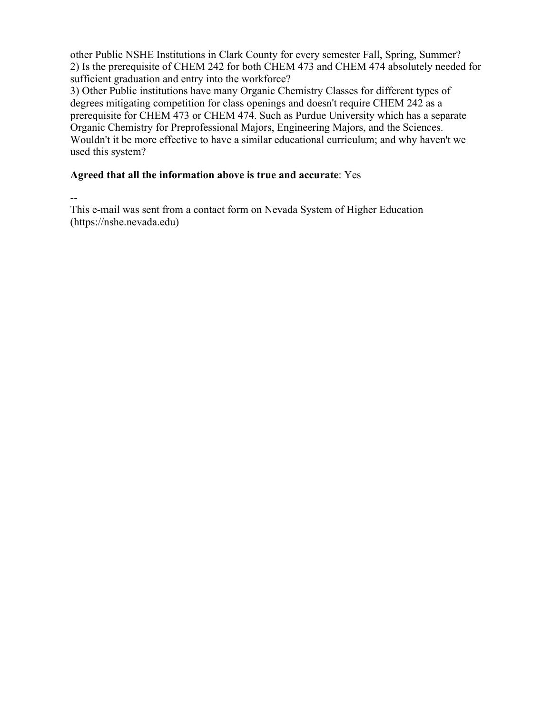other Public NSHE Institutions in Clark County for every semester Fall, Spring, Summer? 2) Is the prerequisite of CHEM 242 for both CHEM 473 and CHEM 474 absolutely needed for sufficient graduation and entry into the workforce?

3) Other Public institutions have many Organic Chemistry Classes for different types of degrees mitigating competition for class openings and doesn't require CHEM 242 as a prerequisite for CHEM 473 or CHEM 474. Such as Purdue University which has a separate Organic Chemistry for Preprofessional Majors, Engineering Majors, and the Sciences. Wouldn't it be more effective to have a similar educational curriculum; and why haven't we used this system?

### **Agreed that all the information above is true and accurate**: Yes

--

This e-mail was sent from a contact form on Nevada System of Higher Education (https://nshe.nevada.edu)